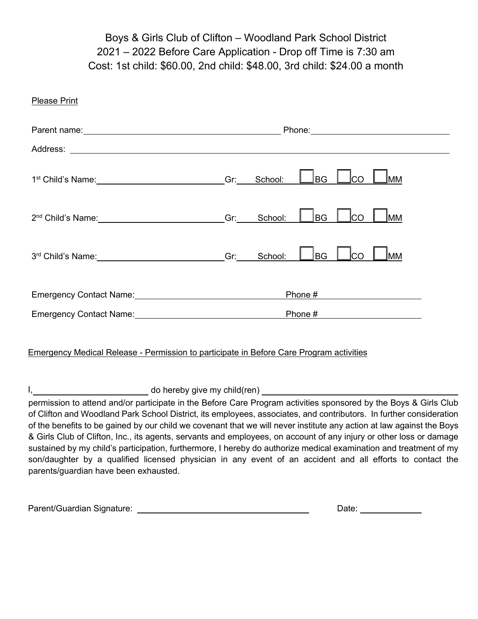## Boys & Girls Club of Clifton – Woodland Park School District 2021 – 2022 Before Care Application - Drop off Time is 7:30 am Cost: 1st child: \$60.00, 2nd child: \$48.00, 3rd child: \$24.00 a month

| <b>Please Print</b>                                                                                                                                                                                                                                                                                                                                                                                                                                                                                                                                                                                                                                                                                                                                                |     |         |                                                                                                                                                                                                                                                                                      |              |           |  |
|--------------------------------------------------------------------------------------------------------------------------------------------------------------------------------------------------------------------------------------------------------------------------------------------------------------------------------------------------------------------------------------------------------------------------------------------------------------------------------------------------------------------------------------------------------------------------------------------------------------------------------------------------------------------------------------------------------------------------------------------------------------------|-----|---------|--------------------------------------------------------------------------------------------------------------------------------------------------------------------------------------------------------------------------------------------------------------------------------------|--------------|-----------|--|
|                                                                                                                                                                                                                                                                                                                                                                                                                                                                                                                                                                                                                                                                                                                                                                    |     |         |                                                                                                                                                                                                                                                                                      |              |           |  |
|                                                                                                                                                                                                                                                                                                                                                                                                                                                                                                                                                                                                                                                                                                                                                                    |     |         |                                                                                                                                                                                                                                                                                      |              |           |  |
|                                                                                                                                                                                                                                                                                                                                                                                                                                                                                                                                                                                                                                                                                                                                                                    | Gr: | School: | <b>BG</b>                                                                                                                                                                                                                                                                            | CO           | <b>MM</b> |  |
|                                                                                                                                                                                                                                                                                                                                                                                                                                                                                                                                                                                                                                                                                                                                                                    | Gr: | School: | BG                                                                                                                                                                                                                                                                                   | lco          | lMM       |  |
|                                                                                                                                                                                                                                                                                                                                                                                                                                                                                                                                                                                                                                                                                                                                                                    | Gr: | School: | BG                                                                                                                                                                                                                                                                                   | Ico          | Jмм       |  |
| Emergency Contact Name: 2008 2009 2010 2020 2021 2022 2023 2024 2022 2023 2024 2022 2023 2024 2022 2023 2024 20                                                                                                                                                                                                                                                                                                                                                                                                                                                                                                                                                                                                                                                    |     |         | Phone $\#$ 2000 $\frac{1}{2}$ 2000 $\frac{1}{2}$ 2000 $\frac{1}{2}$ 2000 $\frac{1}{2}$ 2000 $\frac{1}{2}$ 2000 $\frac{1}{2}$ 2000 $\frac{1}{2}$ 2000 $\frac{1}{2}$ 2000 $\frac{1}{2}$ 2000 $\frac{1}{2}$ 2000 $\frac{1}{2}$ 2000 $\frac{1}{2}$ 2000 $\frac{1}{2}$ 2000 $\frac{1}{2}$ |              |           |  |
|                                                                                                                                                                                                                                                                                                                                                                                                                                                                                                                                                                                                                                                                                                                                                                    |     |         |                                                                                                                                                                                                                                                                                      |              |           |  |
| <b>Emergency Medical Release - Permission to participate in Before Care Program activities</b>                                                                                                                                                                                                                                                                                                                                                                                                                                                                                                                                                                                                                                                                     |     |         |                                                                                                                                                                                                                                                                                      |              |           |  |
| Ι,                                                                                                                                                                                                                                                                                                                                                                                                                                                                                                                                                                                                                                                                                                                                                                 |     |         |                                                                                                                                                                                                                                                                                      |              |           |  |
| permission to attend and/or participate in the Before Care Program activities sponsored by the Boys & Girls Club<br>of Clifton and Woodland Park School District, its employees, associates, and contributors. In further consideration<br>of the benefits to be gained by our child we covenant that we will never institute any action at law against the Boys<br>& Girls Club of Clifton, Inc., its agents, servants and employees, on account of any injury or other loss or damage<br>sustained by my child's participation, furthermore, I hereby do authorize medical examination and treatment of my<br>son/daughter by a qualified licensed physician in any event of an accident and all efforts to contact the<br>parents/guardian have been exhausted. |     |         |                                                                                                                                                                                                                                                                                      |              |           |  |
|                                                                                                                                                                                                                                                                                                                                                                                                                                                                                                                                                                                                                                                                                                                                                                    |     |         |                                                                                                                                                                                                                                                                                      | Date: $\_\_$ |           |  |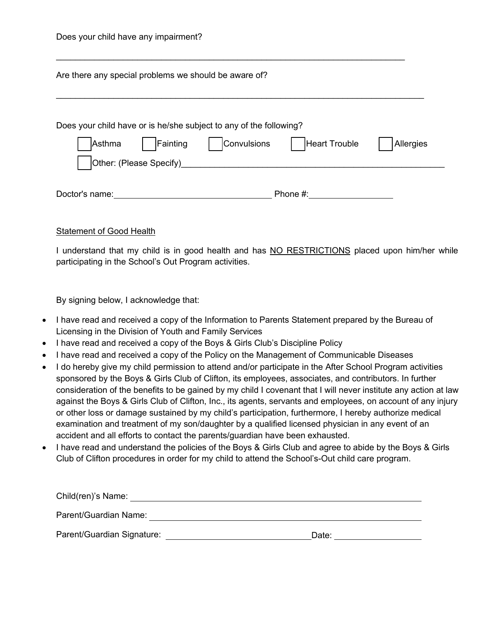| Are there any special problems we should be aware of?                                                                                        |  |
|----------------------------------------------------------------------------------------------------------------------------------------------|--|
| Does your child have or is he/she subject to any of the following?<br>Convulsions<br>Fainting<br><b>Heart Trouble</b><br>Allergies<br>Asthma |  |
| Doctor's name:<br>Phone $#$ :                                                                                                                |  |

## **Statement of Good Health**

I understand that my child is in good health and has NO RESTRICTIONS placed upon him/her while participating in the School's Out Program activities.

By signing below, I acknowledge that:

- · I have read and received a copy of the Information to Parents Statement prepared by the Bureau of Licensing in the Division of Youth and Family Services
- · I have read and received a copy of the Boys & Girls Club's Discipline Policy
- · I have read and received a copy of the Policy on the Management of Communicable Diseases
- · I do hereby give my child permission to attend and/or participate in the After School Program activities sponsored by the Boys & Girls Club of Clifton, its employees, associates, and contributors. In further consideration of the benefits to be gained by my child I covenant that I will never institute any action at law against the Boys & Girls Club of Clifton, Inc., its agents, servants and employees, on account of any injury or other loss or damage sustained by my child's participation, furthermore, I hereby authorize medical examination and treatment of my son/daughter by a qualified licensed physician in any event of an accident and all efforts to contact the parents/guardian have been exhausted.
- · I have read and understand the policies of the Boys & Girls Club and agree to abide by the Boys & Girls Club of Clifton procedures in order for my child to attend the School's-Out child care program.

| Child(ren)'s Name:         |       |
|----------------------------|-------|
| Parent/Guardian Name:      |       |
| Parent/Guardian Signature: | Date: |